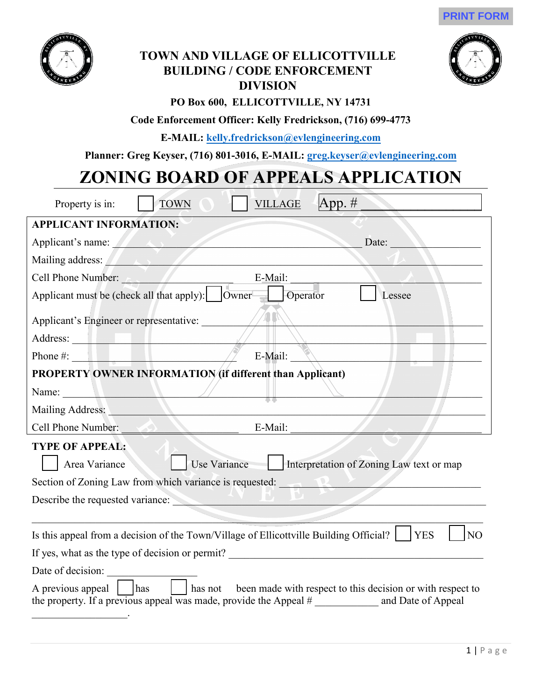



## **TOWN AND VILLAGE OF ELLICOTTVILLE BUILDING / CODE ENFORCEMENT DIVISION**



## **PO Box 600, ELLICOTTVILLE, NY 14731**

## **Code Enforcement Officer: Kelly Fredrickson, (716) 699-4773**

**E-MAIL: kelly.fredrickson@evlengineering.com**

**Planner: Greg Keyser, (716) 801-3016, E-MAIL: greg.keyser@evlengineering.com** 

# **ZONING BOARD OF APPEALS APPLICATION**

| App. $#$<br><b>TOWN</b><br><b>VILLAGE</b><br>Property is in:                                                                                                                                                                           |
|----------------------------------------------------------------------------------------------------------------------------------------------------------------------------------------------------------------------------------------|
| <b>APPLICANT INFORMATION:</b>                                                                                                                                                                                                          |
| Applicant's name: Alexander Applicant is not all the set of the set of the set of the set of the set of the set of the set of the set of the set of the set of the set of the set of the set of the set of the set of the set<br>Date: |
| Mailing address: Alexander and Alexander and Alexander and Alexander and Alexander and Alexander and Alexander                                                                                                                         |
| E-Mail:<br>Cell Phone Number:                                                                                                                                                                                                          |
| Applicant must be (check all that apply):     Owner =<br>Operator<br>Lessee                                                                                                                                                            |
| Applicant's Engineer or representative:                                                                                                                                                                                                |
|                                                                                                                                                                                                                                        |
| E-Mail:<br>Phone $\#$ :                                                                                                                                                                                                                |
| <b>PROPERTY OWNER INFORMATION (if different than Applicant)</b>                                                                                                                                                                        |
| Name:                                                                                                                                                                                                                                  |
| Mailing Address:                                                                                                                                                                                                                       |
| Cell Phone Number:<br>E-Mail:                                                                                                                                                                                                          |
| <b>TYPE OF APPEAL:</b>                                                                                                                                                                                                                 |
| <b>Use Variance</b><br>Interpretation of Zoning Law text or map<br>Area Variance                                                                                                                                                       |
| Section of Zoning Law from which variance is requested:                                                                                                                                                                                |
| Describe the requested variance:                                                                                                                                                                                                       |
|                                                                                                                                                                                                                                        |
| Is this appeal from a decision of the Town/Village of Ellicottville Building Official?<br><b>YES</b><br>N <sub>O</sub>                                                                                                                 |
|                                                                                                                                                                                                                                        |
| Date of decision:                                                                                                                                                                                                                      |
| has not been made with respect to this decision or with respect to<br>A previous appeal         has<br>the property. If a previous appeal was made, provide the Appeal # ______________ and Date of Appeal                             |
|                                                                                                                                                                                                                                        |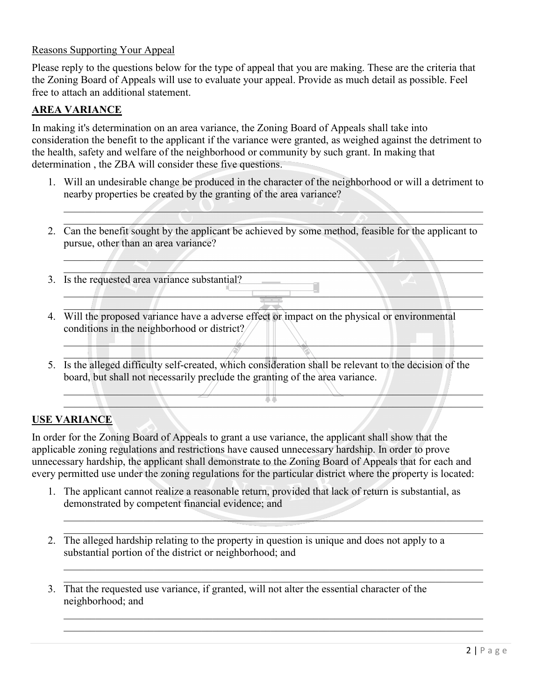### Reasons Supporting Your Appeal

Please reply to the questions below for the type of appeal that you are making. These are the criteria that the Zoning Board of Appeals will use to evaluate your appeal. Provide as much detail as possible. Feel free to attach an additional statement.

## **AREA VARIANCE**

In making it's determination on an area variance, the Zoning Board of Appeals shall take into consideration the benefit to the applicant if the variance were granted, as weighed against the detriment to the health, safety and welfare of the neighborhood or community by such grant. In making that determination , the ZBA will consider these five questions.

1. Will an undesirable change be produced in the character of the neighborhood or will a detriment to nearby properties be created by the granting of the area variance?

\_\_\_\_\_\_\_\_\_\_\_\_\_\_\_\_\_\_\_\_\_\_\_\_\_\_\_\_\_\_\_\_\_\_\_\_\_\_\_\_\_\_\_\_\_\_\_\_\_\_\_\_\_\_\_\_\_\_\_\_\_\_\_\_\_\_\_\_\_\_\_\_\_\_\_\_\_\_\_  $\mathcal{L} = \mathcal{L} \mathcal{L}$ 

 $\mathcal{A}_\lambda$  ,  $\mathcal{A}_\lambda$  ,  $\mathcal{A}_\lambda$  ,  $\mathcal{A}_\lambda$  ,  $\mathcal{A}_\lambda$  ,  $\mathcal{A}_\lambda$  ,  $\mathcal{A}_\lambda$  ,  $\mathcal{A}_\lambda$  ,  $\mathcal{A}_\lambda$  ,  $\mathcal{A}_\lambda$  ,  $\mathcal{A}_\lambda$  ,  $\mathcal{A}_\lambda$  ,  $\mathcal{A}_\lambda$  ,  $\mathcal{A}_\lambda$  ,  $\mathcal{A}_\lambda$  ,  $\mathcal{A}_\lambda$  ,  $\mathcal{A}_\lambda$  ,  $\blacksquare$   $\blacksquare$   $\blacksquare$   $\blacksquare$   $\blacksquare$   $\blacksquare$   $\blacksquare$   $\blacksquare$   $\blacksquare$   $\blacksquare$   $\blacksquare$   $\blacksquare$   $\blacksquare$   $\blacksquare$   $\blacksquare$   $\blacksquare$   $\blacksquare$   $\blacksquare$   $\blacksquare$   $\blacksquare$   $\blacksquare$   $\blacksquare$   $\blacksquare$   $\blacksquare$   $\blacksquare$   $\blacksquare$   $\blacksquare$   $\blacksquare$   $\blacksquare$   $\blacksquare$   $\blacksquare$   $\blacks$ 

 $\Box$  and  $\Box$  and  $\Box$  and  $\Box$  and  $\Box$  and  $\Box$  and  $\Box$  and  $\Box$  and  $\Box$  and  $\Box$  and  $\Box$  and  $\Box$  and  $\Box$  $\frac{1}{2}$  ,  $\frac{1}{2}$  ,  $\frac{1}{2}$  ,  $\frac{1}{2}$  ,  $\frac{1}{2}$  ,  $\frac{1}{2}$  ,  $\frac{1}{2}$  ,  $\frac{1}{2}$  ,  $\frac{1}{2}$  ,  $\frac{1}{2}$  ,  $\frac{1}{2}$  ,  $\frac{1}{2}$  ,  $\frac{1}{2}$  ,  $\frac{1}{2}$  ,  $\frac{1}{2}$  ,  $\frac{1}{2}$  ,  $\frac{1}{2}$  ,  $\frac{1}{2}$  ,  $\frac{1$ 

 $\frac{1}{2}$  ,  $\frac{1}{2}$  ,  $\frac{1}{2}$  ,  $\frac{1}{2}$  ,  $\frac{1}{2}$  ,  $\frac{1}{2}$  ,  $\frac{1}{2}$  ,  $\frac{1}{2}$  ,  $\frac{1}{2}$  ,  $\frac{1}{2}$  ,  $\frac{1}{2}$  ,  $\frac{1}{2}$  ,  $\frac{1}{2}$  ,  $\frac{1}{2}$  ,  $\frac{1}{2}$  ,  $\frac{1}{2}$  ,  $\frac{1}{2}$  ,  $\frac{1}{2}$  ,  $\frac{1$  $\gamma$  in the contract of  $\gamma$  in the contract of  $\gamma$ 

 $\Box$  $\blacksquare$ 

- 2. Can the benefit sought by the applicant be achieved by some method, feasible for the applicant to pursue, other than an area variance?
- 3. Is the requested area variance substantial?
- 4. Will the proposed variance have a adverse effect or impact on the physical or environmental conditions in the neighborhood or district?
- 5. Is the alleged difficulty self-created, which consideration shall be relevant to the decision of the board, but shall not necessarily preclude the granting of the area variance.

## **USE VARIANCE**

In order for the Zoning Board of Appeals to grant a use variance, the applicant shall show that the applicable zoning regulations and restrictions have caused unnecessary hardship. In order to prove unnecessary hardship, the applicant shall demonstrate to the Zoning Board of Appeals that for each and every permitted use under the zoning regulations for the particular district where the property is located:

1. The applicant cannot realize a reasonable return, provided that lack of return is substantial, as demonstrated by competent financial evidence; and

\_\_\_\_\_\_\_\_\_\_\_\_\_\_\_\_\_\_\_\_\_\_\_\_\_\_\_\_\_\_\_\_\_\_\_\_\_\_\_\_\_\_\_\_\_\_\_\_\_\_\_\_\_\_\_\_\_\_\_\_\_\_\_\_\_\_\_\_\_\_\_\_\_\_\_\_\_\_\_  $\overline{\phantom{a}}$  , and the contribution of the contribution of  $\overline{\phantom{a}}$  , and  $\overline{\phantom{a}}$  , and  $\overline{\phantom{a}}$  , and  $\overline{\phantom{a}}$  , and  $\overline{\phantom{a}}$  , and  $\overline{\phantom{a}}$  , and  $\overline{\phantom{a}}$  , and  $\overline{\phantom{a}}$  , and  $\overline{\phantom{a}}$  , and

 $\mathcal{L}_\text{G}$  , and the contribution of the contribution of the contribution of the contribution of the contribution of the contribution of the contribution of the contribution of the contribution of the contribution of t

 $\mathcal{L}_\text{G}$  , and the contribution of the contribution of the contribution of the contribution of the contribution of the contribution of the contribution of the contribution of the contribution of the contribution of t

- 2. The alleged hardship relating to the property in question is unique and does not apply to a substantial portion of the district or neighborhood; and
- 3. That the requested use variance, if granted, will not alter the essential character of the neighborhood; and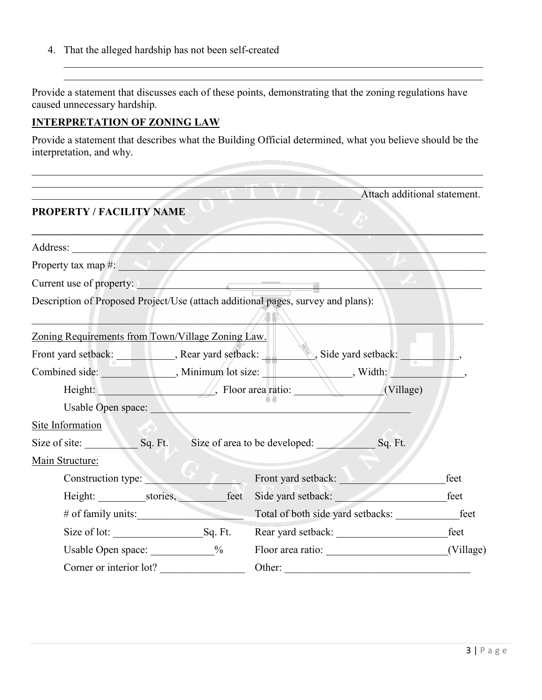4. That the alleged hardship has not been self-created

Provide a statement that discusses each of these points, demonstrating that the zoning regulations have caused unnecessary hardship.

 $\mathcal{L}_\text{G}$  , and the contribution of the contribution of the contribution of the contribution of the contribution of the contribution of the contribution of the contribution of the contribution of the contribution of t

### **INTERPRETATION OF ZONING LAW**

Provide a statement that describes what the Building Official determined, what you believe should be the interpretation, and why.

|                                                                                                                                                                                                                                |                    | Attach additional statement.                                                     |           |  |  |  |
|--------------------------------------------------------------------------------------------------------------------------------------------------------------------------------------------------------------------------------|--------------------|----------------------------------------------------------------------------------|-----------|--|--|--|
| PROPERTY / FACILITY NAME                                                                                                                                                                                                       |                    |                                                                                  |           |  |  |  |
| Address: Value of Address and Address and Address and Address and Address and Address and Address and Address in the Address of Address and Address and Address and Address and Address and Address and Address and Address an |                    |                                                                                  |           |  |  |  |
| Property tax map #:                                                                                                                                                                                                            |                    |                                                                                  |           |  |  |  |
| Current use of property:                                                                                                                                                                                                       |                    |                                                                                  |           |  |  |  |
| Description of Proposed Project/Use (attach additional pages, survey and plans):                                                                                                                                               |                    |                                                                                  |           |  |  |  |
| Zoning Requirements from Town/Village Zoning Law.                                                                                                                                                                              |                    |                                                                                  |           |  |  |  |
|                                                                                                                                                                                                                                | Side yard setback: |                                                                                  |           |  |  |  |
|                                                                                                                                                                                                                                |                    |                                                                                  |           |  |  |  |
| Height: $\sqrt{ }$ , Floor area ratio:<br>$\sqrt{\frac{1}{\text{Village}}}$                                                                                                                                                    |                    |                                                                                  |           |  |  |  |
| Usable Open space:                                                                                                                                                                                                             |                    |                                                                                  |           |  |  |  |
| Site Information                                                                                                                                                                                                               |                    |                                                                                  |           |  |  |  |
| Size of site:                                                                                                                                                                                                                  |                    | Sq. Ft. Size of area to be developed:<br>Sq. Ft.                                 |           |  |  |  |
| Main Structure:                                                                                                                                                                                                                |                    |                                                                                  |           |  |  |  |
| Construction type:                                                                                                                                                                                                             |                    | Front yard setback:                                                              | feet      |  |  |  |
|                                                                                                                                                                                                                                |                    |                                                                                  | feet      |  |  |  |
| # of family units:                                                                                                                                                                                                             |                    | Total of both side yard setbacks:                                                | feet      |  |  |  |
|                                                                                                                                                                                                                                |                    | Size of lot: Sq. Ft. Rear yard setback:                                          | feet      |  |  |  |
|                                                                                                                                                                                                                                |                    | Usable Open space: ___________% Floor area ratio: ______________________________ | (Village) |  |  |  |
| Corner or interior lot?                                                                                                                                                                                                        |                    |                                                                                  |           |  |  |  |